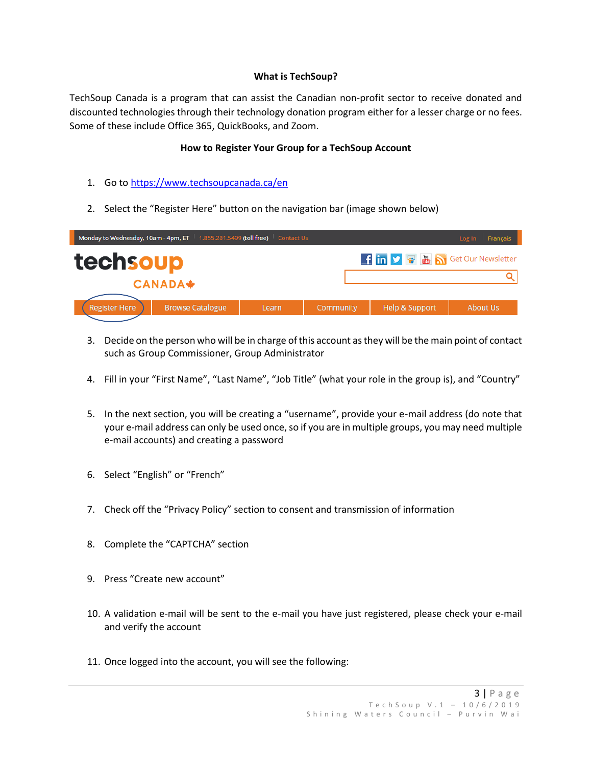## **What is TechSoup?**

TechSoup Canada is a program that can assist the Canadian non-profit sector to receive donated and discounted technologies through their technology donation program either for a lesser charge or no fees. Some of these include Office 365, QuickBooks, and Zoom.

## **How to Register Your Group for a TechSoup Account**

- 1. Go to [https://www.techsoupcanada.ca/en](about:blank)
- 2. Select the "Register Here" button on the navigation bar (image shown below)

|                                                    | Monday to Wednesday, 10am - 4pm, ET $\parallel$ 1.855.281.5499 (toll free) |       | Log In Français |                |          |  |  |
|----------------------------------------------------|----------------------------------------------------------------------------|-------|-----------------|----------------|----------|--|--|
| techsoup<br>f in y & <b>&amp; Solur Newsletter</b> |                                                                            |       |                 |                |          |  |  |
| <b>CANADA*</b>                                     |                                                                            |       |                 |                |          |  |  |
|                                                    |                                                                            |       |                 |                |          |  |  |
| <b>Register Here</b>                               | <b>Browse Catalogue</b>                                                    | Learn | Community       | Help & Support | About Us |  |  |
|                                                    |                                                                            |       |                 |                |          |  |  |

- 3. Decide on the person who will be in charge of this account as they will be the main point of contact such as Group Commissioner, Group Administrator
- 4. Fill in your "First Name", "Last Name", "Job Title" (what your role in the group is), and "Country"
- 5. In the next section, you will be creating a "username", provide your e-mail address (do note that your e-mail address can only be used once, so if you are in multiple groups, you may need multiple e-mail accounts) and creating a password
- 6. Select "English" or "French"
- 7. Check off the "Privacy Policy" section to consent and transmission of information
- 8. Complete the "CAPTCHA" section
- 9. Press "Create new account"
- 10. A validation e-mail will be sent to the e-mail you have just registered, please check your e-mail and verify the account
- 11. Once logged into the account, you will see the following: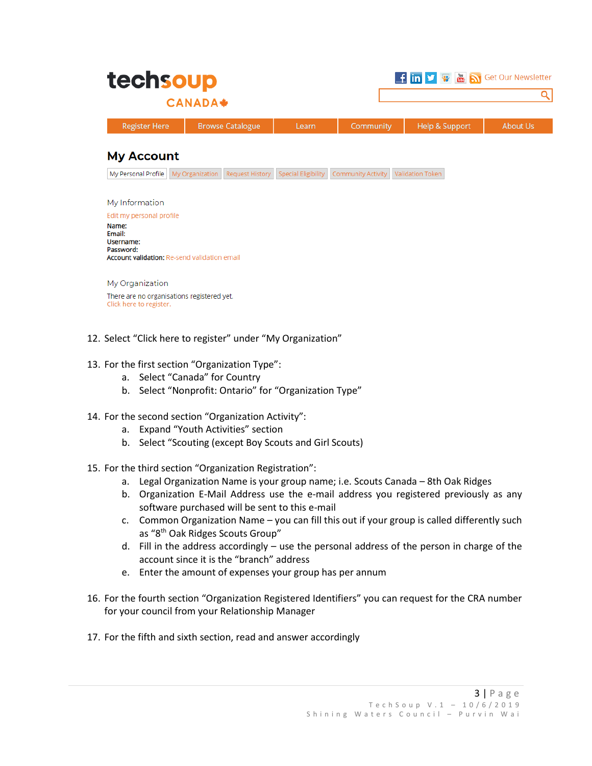| techsoup        |                      |                         |       |           | f in V & <b>&amp; S</b> Get Our Newsletter |                 |  |
|-----------------|----------------------|-------------------------|-------|-----------|--------------------------------------------|-----------------|--|
| <b>CANADA</b> ♦ |                      |                         |       |           |                                            |                 |  |
|                 | <b>Register Here</b> | <b>Browse Catalogue</b> | Learn | Community | Help & Support                             | <b>About Us</b> |  |

## **My Account**

My Personal Profile My Organization Request History Special Eligibility Community Activity Validation Token

My Information

Edit my personal profile Name: Email: Username: Password: Account validation: Re-send validation email

My Organization There are no organisations registered yet. Click here to register.

- 12. Select "Click here to register" under "My Organization"
- 13. For the first section "Organization Type":
	- a. Select "Canada" for Country
	- b. Select "Nonprofit: Ontario" for "Organization Type"
- 14. For the second section "Organization Activity":
	- a. Expand "Youth Activities" section
	- b. Select "Scouting (except Boy Scouts and Girl Scouts)
- 15. For the third section "Organization Registration":
	- a. Legal Organization Name is your group name; i.e. Scouts Canada 8th Oak Ridges
	- b. Organization E-Mail Address use the e-mail address you registered previously as any software purchased will be sent to this e-mail
	- c. Common Organization Name you can fill this out if your group is called differently such as "8th Oak Ridges Scouts Group"
	- d. Fill in the address accordingly use the personal address of the person in charge of the account since it is the "branch" address
	- e. Enter the amount of expenses your group has per annum
- 16. For the fourth section "Organization Registered Identifiers" you can request for the CRA number for your council from your Relationship Manager
- 17. For the fifth and sixth section, read and answer accordingly